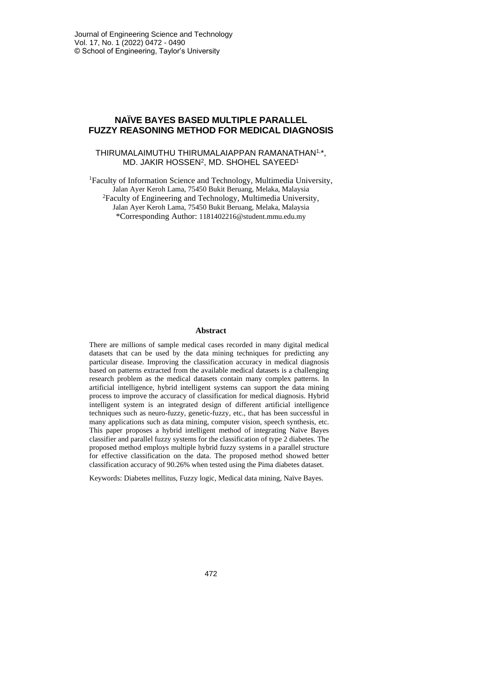## **NAÏVE BAYES BASED MULTIPLE PARALLEL FUZZY REASONING METHOD FOR MEDICAL DIAGNOSIS**

### THIRUMALAIMUTHU THIRUMALAIAPPAN RAMANATHAN1, \*, MD. JAKIR HOSSEN<sup>2</sup> , MD. SHOHEL SAYEED<sup>1</sup>

<sup>1</sup>Faculty of Information Science and Technology, Multimedia University, Jalan Ayer Keroh Lama, 75450 Bukit Beruang, Melaka, Malaysia <sup>2</sup>Faculty of Engineering and Technology, Multimedia University, Jalan Ayer Keroh Lama, 75450 Bukit Beruang, Melaka, Malaysia \*Corresponding Author: 1181402216@student.mmu.edu.my

### **Abstract**

There are millions of sample medical cases recorded in many digital medical datasets that can be used by the data mining techniques for predicting any particular disease. Improving the classification accuracy in medical diagnosis based on patterns extracted from the available medical datasets is a challenging research problem as the medical datasets contain many complex patterns. In artificial intelligence, hybrid intelligent systems can support the data mining process to improve the accuracy of classification for medical diagnosis. Hybrid intelligent system is an integrated design of different artificial intelligence techniques such as neuro-fuzzy, genetic-fuzzy, etc., that has been successful in many applications such as data mining, computer vision, speech synthesis, etc. This paper proposes a hybrid intelligent method of integrating Naïve Bayes classifier and parallel fuzzy systems for the classification of type 2 diabetes. The proposed method employs multiple hybrid fuzzy systems in a parallel structure for effective classification on the data. The proposed method showed better classification accuracy of 90.26% when tested using the Pima diabetes dataset.

Keywords: Diabetes mellitus, Fuzzy logic, Medical data mining, Naïve Bayes.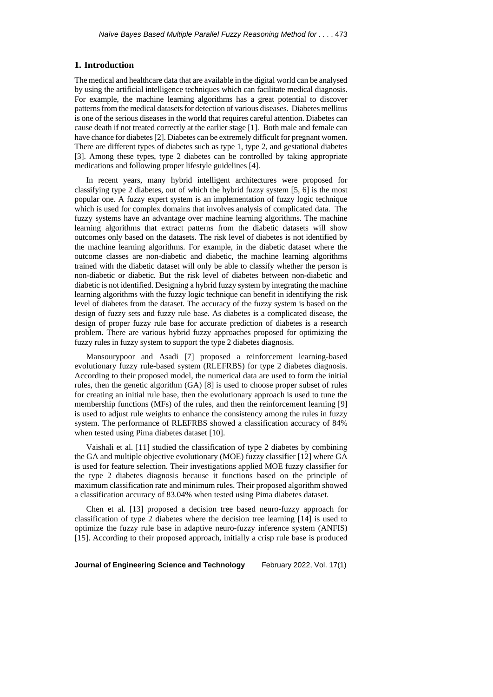### **1. Introduction**

The medical and healthcare data that are available in the digital world can be analysed by using the artificial intelligence techniques which can facilitate medical diagnosis. For example, the machine learning algorithms has a great potential to discover patternsfrom the medical datasetsfor detection of various diseases. Diabetes mellitus is one of the serious diseases in the world that requires careful attention. Diabetes can cause death if not treated correctly at the earlier stage [1]. Both male and female can have chance for diabetes [2]. Diabetes can be extremely difficult for pregnant women. There are different types of diabetes such as type 1, type 2, and gestational diabetes [3]. Among these types, type 2 diabetes can be controlled by taking appropriate medications and following proper lifestyle guidelines [4].

In recent years, many hybrid intelligent architectures were proposed for classifying type 2 diabetes, out of which the hybrid fuzzy system [5, 6] is the most popular one. A fuzzy expert system is an implementation of fuzzy logic technique which is used for complex domains that involves analysis of complicated data. The fuzzy systems have an advantage over machine learning algorithms. The machine learning algorithms that extract patterns from the diabetic datasets will show outcomes only based on the datasets. The risk level of diabetes is not identified by the machine learning algorithms. For example, in the diabetic dataset where the outcome classes are non-diabetic and diabetic, the machine learning algorithms trained with the diabetic dataset will only be able to classify whether the person is non-diabetic or diabetic. But the risk level of diabetes between non-diabetic and diabetic is not identified. Designing a hybrid fuzzy system by integrating the machine learning algorithms with the fuzzy logic technique can benefit in identifying the risk level of diabetes from the dataset. The accuracy of the fuzzy system is based on the design of fuzzy sets and fuzzy rule base. As diabetes is a complicated disease, the design of proper fuzzy rule base for accurate prediction of diabetes is a research problem. There are various hybrid fuzzy approaches proposed for optimizing the fuzzy rules in fuzzy system to support the type 2 diabetes diagnosis.

Mansourypoor and Asadi [7] proposed a reinforcement learning-based evolutionary fuzzy rule-based system (RLEFRBS) for type 2 diabetes diagnosis. According to their proposed model, the numerical data are used to form the initial rules, then the genetic algorithm (GA) [8] is used to choose proper subset of rules for creating an initial rule base, then the evolutionary approach is used to tune the membership functions (MFs) of the rules, and then the reinforcement learning [9] is used to adjust rule weights to enhance the consistency among the rules in fuzzy system. The performance of RLEFRBS showed a classification accuracy of 84% when tested using Pima diabetes dataset [10].

Vaishali et al. [11] studied the classification of type 2 diabetes by combining the GA and multiple objective evolutionary (MOE) fuzzy classifier [12] where GA is used for feature selection. Their investigations applied MOE fuzzy classifier for the type 2 diabetes diagnosis because it functions based on the principle of maximum classification rate and minimum rules. Their proposed algorithm showed a classification accuracy of 83.04% when tested using Pima diabetes dataset.

Chen et al. [13] proposed a decision tree based neuro-fuzzy approach for classification of type 2 diabetes where the decision tree learning [14] is used to optimize the fuzzy rule base in adaptive neuro-fuzzy inference system (ANFIS) [15]. According to their proposed approach, initially a crisp rule base is produced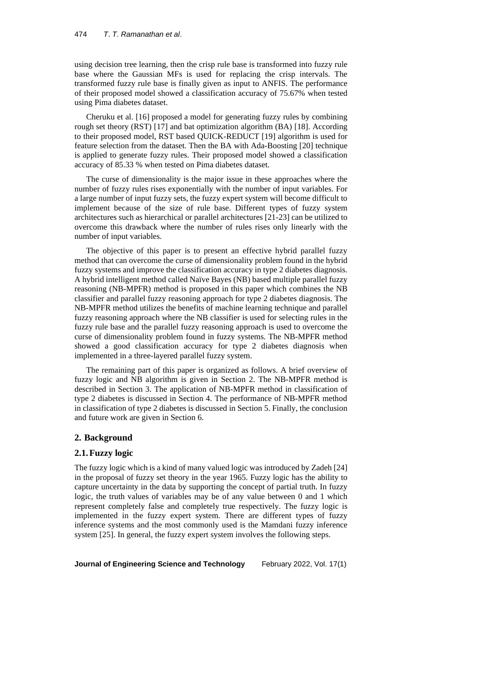### 474 *T*. *T*. *Ramanathan et al*.

using decision tree learning, then the crisp rule base is transformed into fuzzy rule base where the Gaussian MFs is used for replacing the crisp intervals. The transformed fuzzy rule base is finally given as input to ANFIS. The performance of their proposed model showed a classification accuracy of 75.67% when tested using Pima diabetes dataset.

Cheruku et al. [16] proposed a model for generating fuzzy rules by combining rough set theory (RST) [17] and bat optimization algorithm (BA) [18]. According to their proposed model, RST based QUICK-REDUCT [19] algorithm is used for feature selection from the dataset. Then the BA with Ada-Boosting [20] technique is applied to generate fuzzy rules. Their proposed model showed a classification accuracy of 85.33 % when tested on Pima diabetes dataset.

The curse of dimensionality is the major issue in these approaches where the number of fuzzy rules rises exponentially with the number of input variables. For a large number of input fuzzy sets, the fuzzy expert system will become difficult to implement because of the size of rule base. Different types of fuzzy system architectures such as hierarchical or parallel architectures [21-23] can be utilized to overcome this drawback where the number of rules rises only linearly with the number of input variables.

The objective of this paper is to present an effective hybrid parallel fuzzy method that can overcome the curse of dimensionality problem found in the hybrid fuzzy systems and improve the classification accuracy in type 2 diabetes diagnosis. A hybrid intelligent method called Naïve Bayes (NB) based multiple parallel fuzzy reasoning (NB-MPFR) method is proposed in this paper which combines the NB classifier and parallel fuzzy reasoning approach for type 2 diabetes diagnosis. The NB-MPFR method utilizes the benefits of machine learning technique and parallel fuzzy reasoning approach where the NB classifier is used for selecting rules in the fuzzy rule base and the parallel fuzzy reasoning approach is used to overcome the curse of dimensionality problem found in fuzzy systems. The NB-MPFR method showed a good classification accuracy for type 2 diabetes diagnosis when implemented in a three-layered parallel fuzzy system.

The remaining part of this paper is organized as follows. A brief overview of fuzzy logic and NB algorithm is given in Section 2. The NB-MPFR method is described in Section 3. The application of NB-MPFR method in classification of type 2 diabetes is discussed in Section 4. The performance of NB-MPFR method in classification of type 2 diabetes is discussed in Section 5. Finally, the conclusion and future work are given in Section 6.

### **2. Background**

## **2.1.Fuzzy logic**

The fuzzy logic which is a kind of many valued logic was introduced by Zadeh [24] in the proposal of fuzzy set theory in the year 1965. Fuzzy logic has the ability to capture uncertainty in the data by supporting the concept of partial truth. In fuzzy logic, the truth values of variables may be of any value between 0 and 1 which represent completely false and completely true respectively. The fuzzy logic is implemented in the fuzzy expert system. There are different types of fuzzy inference systems and the most commonly used is the Mamdani fuzzy inference system [25]. In general, the fuzzy expert system involves the following steps.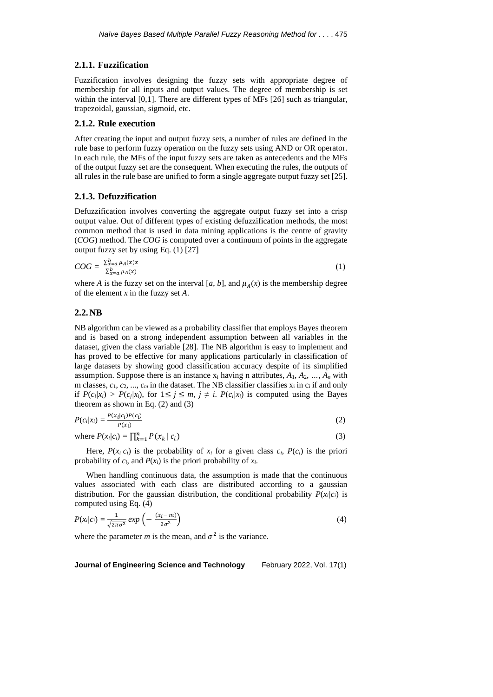### **2.1.1. Fuzzification**

Fuzzification involves designing the fuzzy sets with appropriate degree of membership for all inputs and output values. The degree of membership is set within the interval [0,1]. There are different types of MFs [26] such as triangular, trapezoidal, gaussian, sigmoid, etc.

### **2.1.2. Rule execution**

After creating the input and output fuzzy sets, a number of rules are defined in the rule base to perform fuzzy operation on the fuzzy sets using AND or OR operator. In each rule, the MFs of the input fuzzy sets are taken as antecedents and the MFs of the output fuzzy set are the consequent. When executing the rules, the outputs of all rules in the rule base are unified to form a single aggregate output fuzzy set [25].

### **2.1.3. Defuzzification**

Defuzzification involves converting the aggregate output fuzzy set into a crisp output value. Out of different types of existing defuzzification methods, the most common method that is used in data mining applications is the centre of gravity (*COG*) method. The *COG* is computed over a continuum of points in the aggregate output fuzzy set by using Eq. (1) [27]

$$
COG = \frac{\sum_{x=a}^{b} \mu_A(x)x}{\sum_{x=a}^{b} \mu_A(x)}\tag{1}
$$

where *A* is the fuzzy set on the interval [a, b], and  $\mu_A(x)$  is the membership degree of the element *x* in the fuzzy set *A*.

### **2.2.NB**

NB algorithm can be viewed as a probability classifier that employs Bayes theorem and is based on a strong independent assumption between all variables in the dataset, given the class variable [28]. The NB algorithm is easy to implement and has proved to be effective for many applications particularly in classification of large datasets by showing good classification accuracy despite of its simplified assumption. Suppose there is an instance  $x_i$  having n attributes,  $A_1, A_2, ..., A_n$  with m classes,  $c_1$ ,  $c_2$ , ...,  $c_m$  in the dataset. The NB classifier classifies  $x_i$  in  $c_i$  if and only if  $P(c_i|x_i) > P(c_i|x_i)$ , for  $1 \le i \le m$ ,  $i \ne i$ .  $P(c_i|x_i)$  is computed using the Bayes theorem as shown in Eq. (2) and (3)

$$
P(c_i|x_i) = \frac{P(x_i|c_i)P(c_i)}{P(x_i)}
$$
\n
$$
(2)
$$

where 
$$
P(x_i|c_i) = \prod_{k=1}^{n} P(x_k | c_i)
$$
 (3)

Here,  $P(x_i|c_i)$  is the probability of  $x_i$  for a given class  $c_i$ ,  $P(c_i)$  is the priori probability of  $c_i$ , and  $P(x_i)$  is the priori probability of  $x_i$ .

When handling continuous data, the assumption is made that the continuous values associated with each class are distributed according to a gaussian distribution. For the gaussian distribution, the conditional probability  $P(x_i|c_i)$  is computed using Eq. (4)

$$
P(x_i/c_i) = \frac{1}{\sqrt{2\pi\sigma^2}} \exp\left(-\frac{(x_i - m)}{2\sigma^2}\right) \tag{4}
$$

where the parameter *m* is the mean, and  $\sigma^2$  is the variance.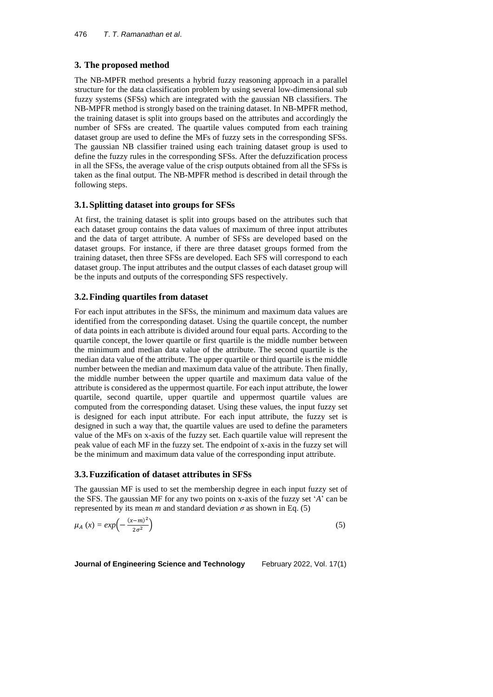# **3. The proposed method**

The NB-MPFR method presents a hybrid fuzzy reasoning approach in a parallel structure for the data classification problem by using several low-dimensional sub fuzzy systems (SFSs) which are integrated with the gaussian NB classifiers. The NB-MPFR method is strongly based on the training dataset. In NB-MPFR method, the training dataset is split into groups based on the attributes and accordingly the number of SFSs are created. The quartile values computed from each training dataset group are used to define the MFs of fuzzy sets in the corresponding SFSs. The gaussian NB classifier trained using each training dataset group is used to define the fuzzy rules in the corresponding SFSs. After the defuzzification process in all the SFSs, the average value of the crisp outputs obtained from all the SFSs is taken as the final output. The NB-MPFR method is described in detail through the following steps.

## **3.1.Splitting dataset into groups for SFSs**

At first, the training dataset is split into groups based on the attributes such that each dataset group contains the data values of maximum of three input attributes and the data of target attribute. A number of SFSs are developed based on the dataset groups. For instance, if there are three dataset groups formed from the training dataset, then three SFSs are developed. Each SFS will correspond to each dataset group. The input attributes and the output classes of each dataset group will be the inputs and outputs of the corresponding SFS respectively.

# **3.2.Finding quartiles from dataset**

For each input attributes in the SFSs, the minimum and maximum data values are identified from the corresponding dataset. Using the quartile concept, the number of data points in each attribute is divided around four equal parts. According to the quartile concept, the lower quartile or first quartile is the middle number between the minimum and median data value of the attribute. The second quartile is the median data value of the attribute. The upper quartile or third quartile is the middle number between the median and maximum data value of the attribute. Then finally, the middle number between the upper quartile and maximum data value of the attribute is considered as the uppermost quartile. For each input attribute, the lower quartile, second quartile, upper quartile and uppermost quartile values are computed from the corresponding dataset. Using these values, the input fuzzy set is designed for each input attribute. For each input attribute, the fuzzy set is designed in such a way that, the quartile values are used to define the parameters value of the MFs on x-axis of the fuzzy set. Each quartile value will represent the peak value of each MF in the fuzzy set. The endpoint of x-axis in the fuzzy set will be the minimum and maximum data value of the corresponding input attribute.

# **3.3.Fuzzification of dataset attributes in SFSs**

The gaussian MF is used to set the membership degree in each input fuzzy set of the SFS. The gaussian MF for any two points on x-axis of the fuzzy set '*A*' can be represented by its mean *m* and standard deviation  $\sigma$  as shown in Eq. (5)

$$
\mu_A(x) = \exp\left(-\frac{(x-m)^2}{2\sigma^2}\right) \tag{5}
$$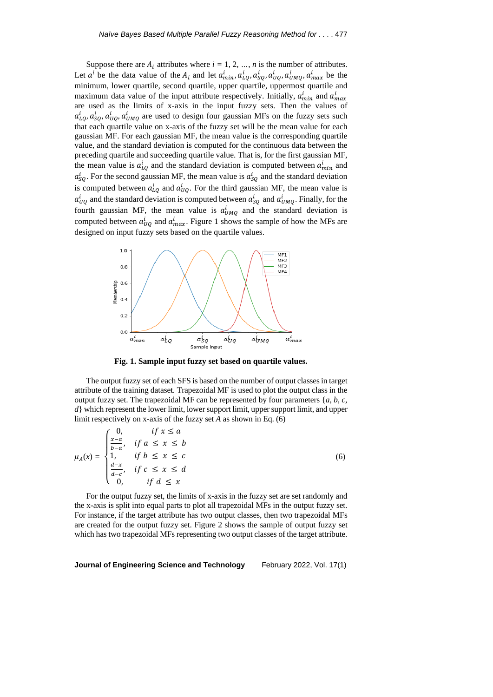Suppose there are  $A_i$  attributes where  $i = 1, 2, ..., n$  is the number of attributes. Let  $a^i$  be the data value of the  $A_i$  and let  $a^i_{min}$ ,  $a^i_{LQ}$ ,  $a^i_{SQ}$ ,  $a^i_{UQ}$ ,  $a^i_{UMQ}$ ,  $a^i_{max}$  be the minimum, lower quartile, second quartile, upper quartile, uppermost quartile and maximum data value of the input attribute respectively. Initially,  $a_{min}^i$  and  $a_{max}^i$ are used as the limits of x-axis in the input fuzzy sets. Then the values of  $a_{LQ}^i, a_{SQ}^i, a_{UQ}^i, a_{UMQ}^i$  are used to design four gaussian MFs on the fuzzy sets such that each quartile value on x-axis of the fuzzy set will be the mean value for each gaussian MF. For each gaussian MF, the mean value is the corresponding quartile value, and the standard deviation is computed for the continuous data between the preceding quartile and succeeding quartile value. That is, for the first gaussian MF, the mean value is  $a_{LQ}^i$  and the standard deviation is computed between  $a_{min}^i$  and  $a_{SQ}^i$ . For the second gaussian MF, the mean value is  $a_{SQ}^i$  and the standard deviation is computed between  $a_{LQ}^i$  and  $a_{UQ}^i$ . For the third gaussian MF, the mean value is  $a_{UQ}^i$  and the standard deviation is computed between  $a_{SQ}^i$  and  $a_{UMQ}^i$ . Finally, for the fourth gaussian MF, the mean value is  $a_{UMQ}^i$  and the standard deviation is computed between  $a_{UQ}^i$  and  $a_{max}^i$ . Figure 1 shows the sample of how the MFs are designed on input fuzzy sets based on the quartile values.



**Fig. 1. Sample input fuzzy set based on quartile values.**

The output fuzzy set of each SFS is based on the number of output classesin target attribute of the training dataset. Trapezoidal MF is used to plot the output class in the output fuzzy set. The trapezoidal MF can be represented by four parameters {*a*, *b*, *c*, *d*} which represent the lower limit, lower support limit, upper support limit, and upper limit respectively on x-axis of the fuzzy set *A* as shown in Eq. (6)

 $\overline{0}$ ,  $\overline{c}$ ,  $\overline{c}$ 

$$
\mu_A(x) = \begin{cases}\n0, & \text{if } x \le a \\
\frac{x-a}{b-a}, & \text{if } a \le x \le b \\
1, & \text{if } b \le x \le c \\
\frac{d-x}{d-c}, & \text{if } c \le x \le d \\
0, & \text{if } d \le x\n\end{cases} \tag{6}
$$

For the output fuzzy set, the limits of x-axis in the fuzzy set are set randomly and the x-axis is split into equal parts to plot all trapezoidal MFs in the output fuzzy set. For instance, if the target attribute has two output classes, then two trapezoidal MFs are created for the output fuzzy set. Figure 2 shows the sample of output fuzzy set which has two trapezoidal MFs representing two output classes of the target attribute.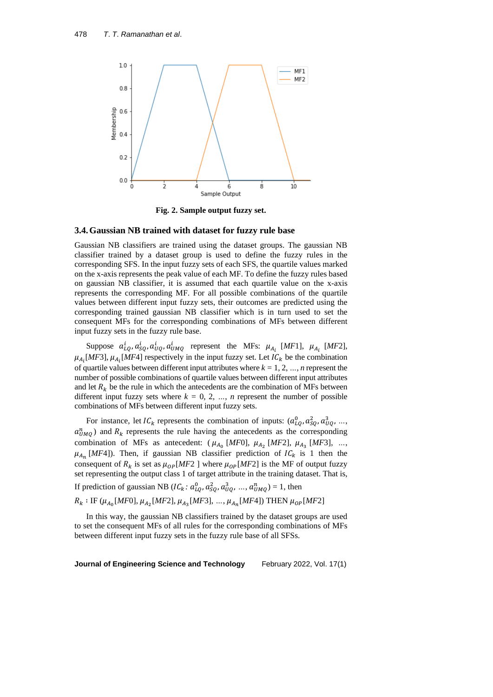

**Fig. 2. Sample output fuzzy set.**

#### **3.4.Gaussian NB trained with dataset for fuzzy rule base**

Gaussian NB classifiers are trained using the dataset groups. The gaussian NB classifier trained by a dataset group is used to define the fuzzy rules in the corresponding SFS. In the input fuzzy sets of each SFS, the quartile values marked on the x-axis represents the peak value of each MF. To define the fuzzy rules based on gaussian NB classifier, it is assumed that each quartile value on the x-axis represents the corresponding MF. For all possible combinations of the quartile values between different input fuzzy sets, their outcomes are predicted using the corresponding trained gaussian NB classifier which is in turn used to set the consequent MFs for the corresponding combinations of MFs between different input fuzzy sets in the fuzzy rule base.

Suppose  $a_{LQ}^i, a_{SQ}^i, a_{UQ}^i, a_{UMQ}^i$  represent the MFs:  $\mu_{A_i}$  [*MF*1],  $\mu_{A_i}$  [*MF*2],  $\mu_{A_i}[MF3], \mu_{A_i}[MF4]$  respectively in the input fuzzy set. Let  $IC_k$  be the combination of quartile values between different input attributes where  $k = 1, 2, ..., n$  represent the number of possible combinations of quartile values between different input attributes and let  $R_k$  be the rule in which the antecedents are the combination of MFs between different input fuzzy sets where  $k = 0, 2, ..., n$  represent the number of possible combinations of MFs between different input fuzzy sets.

For instance, let  $IC_k$  represents the combination of inputs:  $(a_{LQ}^0, a_{SQ}^2, a_{UQ}^3, ..., a_{UQ}^2)$  $a_{UMQ}^n$ ) and  $R_k$  represents the rule having the antecedents as the corresponding combination of MFs as antecedent:  $(\mu_{A_0} [MF0], \mu_{A_2} [MF2], \mu_{A_3} [MF3], ...,$  $\mu_{A_n}$  [*MF*4]). Then, if gaussian NB classifier prediction of  $IC_k$  is 1 then the consequent of  $R_k$  is set as  $\mu_{OP}[MF2]$  where  $\mu_{OP}[MF2]$  is the MF of output fuzzy set representing the output class 1 of target attribute in the training dataset. That is,

If prediction of gaussian NB ( $IC_k$ :  $a_{LQ}^0$ ,  $a_{SQ}^2$ ,  $a_{UQ}^3$ , ...,  $a_{UMQ}^n$ ) = 1, then

 $R_k: \text{IF } (\mu_{A_0}[MF0], \mu_{A_2}[MF2], \mu_{A_3}[MF3], ..., \mu_{A_n}[MF4]) \text{ THEN } \mu_{OP}[MF2]$ 

In this way, the gaussian NB classifiers trained by the dataset groups are used to set the consequent MFs of all rules for the corresponding combinations of MFs between different input fuzzy sets in the fuzzy rule base of all SFSs.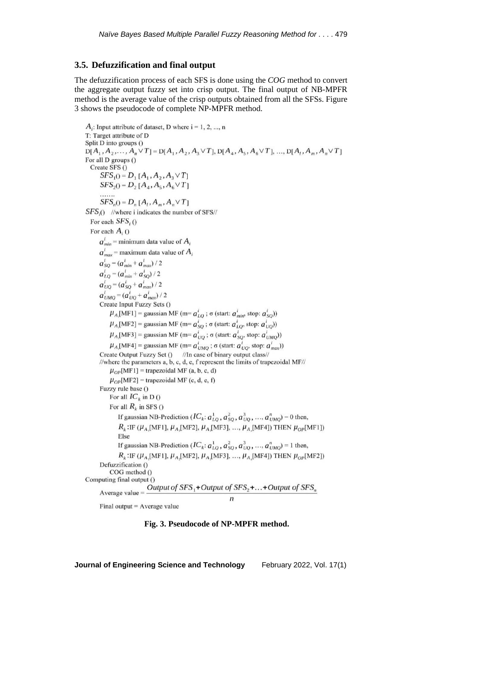### **3.5. Defuzzification and final output**

The defuzzification process of each SFS is done using the *COG* method to convert the aggregate output fuzzy set into crisp output. The final output of NB-MPFR method is the average value of the crisp outputs obtained from all the SFSs. Figure 3 shows the pseudocode of complete NP-MPFR method.

```
A_i: Input attribute of dataset, D where i = 1, 2, ..., n
T: Target attribute of D
Split D into groups ()
D[A_1, A_2, \ldots, A_n \vee T] = D[A_1, A_2, A_3 \vee T], D[A_4, A_5, A_6 \vee T], \ldots, D[A_i, A_m, A_n \vee T]For all D groups ()
  Create SFS ()
      SFS_1() = D_1[A_1, A_2, A_3 \vee T]SFS_2() = D_2[A_4, A_5, A_6 \vee T]SFS_n() = D_n [A_1, A_m, A_n \vee T]SFS<sub>i</sub>() //where i indicates the number of SFS//
  For each SFS<sub>i</sub>()For each A_i ()
      a_{\text{min}}^i = minimum data value of A_ia_{max}^i = maximum data value of A_ia_{SQ}^i = (a_{min}^i + a_{max}^i)/2a_{LQ}^i = (a_{min}^i + a_{SQ}^i)/2a'_{UQ} = (a'_{SQ} + a'_{max})/2a_{UMQ}^{i} = (a_{UQ}^{i} + a_{max}^{i})/2Create Input Fuzzy Sets ()
          \mu_{A}[\text{MF1}] = gaussian MF (m= a_{LQ}^{i}; \sigma (start: a_{min}^{i}, stop: a_{SQ}^{i}))
          \mu_{A}[\text{MF2}] = gaussian MF (m= a_{SO}^{i}; \sigma (start: a_{LO}^{i}, stop: a_{UQ}^{i}))
          \mu_{A}[MF3] = gaussian MF (m= a_{UQ}^{i}; \sigma (start: a_{SQ}^{i}, stop: a_{UMQ}^{i}))
          \mu_{A}[MF4] = gaussian MF (m= a_{UMO}^{i}; \sigma (start: a_{UO}^{i}, stop: a_{max}^{i}))
      Create Output Fuzzy Set () //In case of binary output class//
      //where the parameters a, b, c, d, e, f represent the limits of trapezoidal MF//
          \mu_{OP}[\text{MF1}] = trapezoidal MF (a, b, c, d)
          \mu_{OP}[MF2] = trapezoidal MF (c, d, e, f)
      Fuzzy rule base ()
          For all IC_k in D()
          For all R_k in SFS ()
              If gaussian NB-Prediction (IC_k: a_{LQ}^1, a_{SQ}^2, a_{UQ}^3, ..., a_{UMQ}^n) = 0 then,
              R_k: IF (\mu_A[MF1], \mu_A[MF2], \mu_A[MF3], ..., \mu_A[MF4]) THEN \mu_{OP}[MF1])
              Else
              If gaussian NB-Prediction (IC_k: a_{LO}^1, a_{SO}^2, a_{UO}^3, ..., a_{UMO}^n) = 1 then,
              R_k:IF (\mu_{A}[MF1], \mu_{A}[MF2], \mu_{A}[MF3], ..., \mu_{A}[MF4]) THEN \mu_{OP}[MF2])
      Defuzzification ()
          COG method ()
Computing final output ()
                           Output of SFS,+Output of SFS,+...+Output of SFS,
      Average value =\overline{r}
```
Final output = Average value

**Fig. 3. Pseudocode of NP-MPFR method.**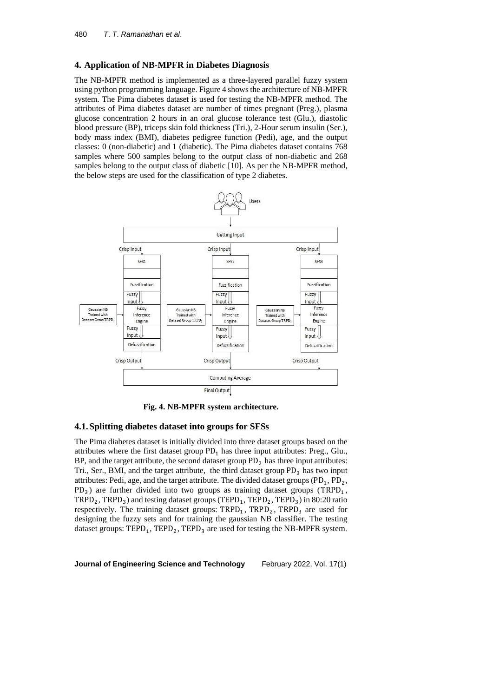### **4. Application of NB-MPFR in Diabetes Diagnosis**

The NB-MPFR method is implemented as a three-layered parallel fuzzy system using python programming language. Figure 4 showsthe architecture of NB-MPFR system. The Pima diabetes dataset is used for testing the NB-MPFR method. The attributes of Pima diabetes dataset are number of times pregnant (Preg.), plasma glucose concentration 2 hours in an oral glucose tolerance test (Glu.), diastolic blood pressure (BP), triceps skin fold thickness (Tri.), 2-Hour serum insulin (Ser.), body mass index (BMI), diabetes pedigree function (Pedi), age, and the output classes: 0 (non-diabetic) and 1 (diabetic). The Pima diabetes dataset contains 768 samples where 500 samples belong to the output class of non-diabetic and 268 samples belong to the output class of diabetic [10]. As per the NB-MPFR method, the below steps are used for the classification of type 2 diabetes.



**Fig. 4. NB-MPFR system architecture.**

### **4.1.Splitting diabetes dataset into groups for SFSs**

The Pima diabetes dataset is initially divided into three dataset groups based on the attributes where the first dataset group  $PD_1$  has three input attributes: Preg., Glu., BP, and the target attribute, the second dataset group  $PD_2$  has three input attributes: Tri., Ser., BMI, and the target attribute, the third dataset group  $PD_3$  has two input attributes: Pedi, age, and the target attribute. The divided dataset groups  $(PD_1, PD_2,$  $PD_3$ ) are further divided into two groups as training dataset groups (TRPD<sub>1</sub>,  $TRPD_2$ ,  $TRPD_3$ ) and testing dataset groups (TEPD<sub>1</sub>, TEPD<sub>2</sub>, TEPD<sub>3</sub>) in 80:20 ratio respectively. The training dataset groups:  $TRPD_1$ ,  $TRPD_2$ ,  $TRPD_3$  are used for designing the fuzzy sets and for training the gaussian NB classifier. The testing dataset groups:  $\text{TEPD}_1$ ,  $\text{TEPD}_2$ ,  $\text{TEPD}_3$  are used for testing the NB-MPFR system.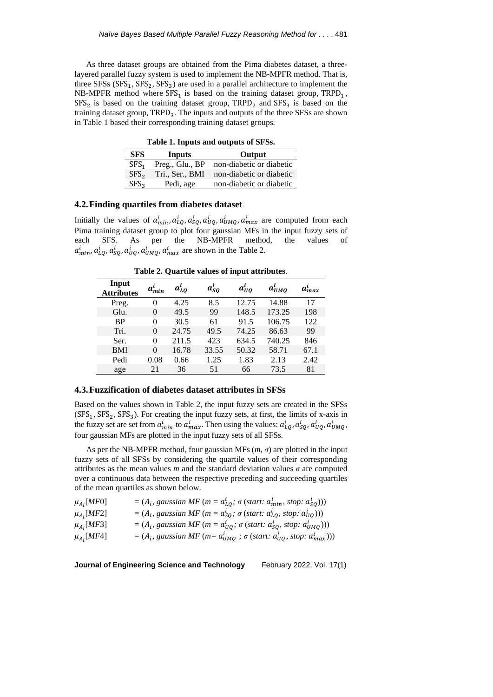As three dataset groups are obtained from the Pima diabetes dataset, a threelayered parallel fuzzy system is used to implement the NB-MPFR method. That is, three  $SFSs$  ( $SFS<sub>1</sub>$ ,  $SFS<sub>2</sub>$ ,  $SFS<sub>3</sub>$ ) are used in a parallel architecture to implement the NB-MPFR method where  $SFS_1$  is based on the training dataset group,  $TRPD_1$ ,  $SFS<sub>2</sub>$  is based on the training dataset group,  $TRPD<sub>2</sub>$  and  $SFS<sub>3</sub>$  is based on the training dataset group, TRPD<sub>3</sub>. The inputs and outputs of the three SFSs are shown in Table 1 based their corresponding training dataset groups.

**Table 1. Inputs and outputs of SFSs.**

| <b>SFS</b>       | Inputs          | Output                   |
|------------------|-----------------|--------------------------|
| SFS.             | Preg., Glu., BP | non-diabetic or diabetic |
| SFS <sub>2</sub> | Tri., Ser., BMI | non-diabetic or diabetic |
| SFS <sub>2</sub> | Pedi, age       | non-diabetic or diabetic |

### **4.2.Finding quartiles from diabetes dataset**

Initially the values of  $a_{min}^i$ ,  $a_{LQ}^i$ ,  $a_{Q}^i$ ,  $a_{UQ}^i$ ,  $a_{UMQ}^i$ ,  $a_{max}^i$  are computed from each Pima training dataset group to plot four gaussian MFs in the input fuzzy sets of each SFS. As per the NB-MPFR method, the values of  $a_{min}^i, a_{LQ}^i, a_{SQ}^i, a_{UQ}^i, a_{UMQ}^i, a_{max}^i$  are shown in the Table 2.

**Table 2. Quartile values of input attributes**.

| Input<br><b>Attributes</b> | $a_{min}^{\iota}$ | $a_{L0}^i$ | $a_{SO}^i$ | $a_{UQ}^l$ | $a_{UMO}^i$ | $a_{max}^l$ |
|----------------------------|-------------------|------------|------------|------------|-------------|-------------|
| Preg.                      | 0                 | 4.25       | 8.5        | 12.75      | 14.88       | 17          |
| Glu.                       | $\Omega$          | 49.5       | 99         | 148.5      | 173.25      | 198         |
| <b>BP</b>                  | 0                 | 30.5       | 61         | 91.5       | 106.75      | 122         |
| Tri.                       | $\Omega$          | 24.75      | 49.5       | 74.25      | 86.63       | 99          |
| Ser.                       | 0                 | 211.5      | 423        | 634.5      | 740.25      | 846         |
| <b>BMI</b>                 | $\Omega$          | 16.78      | 33.55      | 50.32      | 58.71       | 67.1        |
| Pedi                       | 0.08              | 0.66       | 1.25       | 1.83       | 2.13        | 2.42        |
| age                        | 21                | 36         | 51         | 66         | 73.5        | 81          |

### **4.3.Fuzzification of diabetes dataset attributes in SFSs**

Based on the values shown in Table 2, the input fuzzy sets are created in the SFSs  $(SFS<sub>1</sub>, SFS<sub>2</sub>, SFS<sub>3</sub>)$ . For creating the input fuzzy sets, at first, the limits of x-axis in the fuzzy set are set from  $a_{min}^i$  to  $a_{max}^i$ . Then using the values:  $a_{LQ}^i$ ,  $a_{SQ}^i$ ,  $a_{UQ}^i$ ,  $a_{UMQ}^i$ , four gaussian MFs are plotted in the input fuzzy sets of all SFSs.

As per the NB-MPFR method, four gaussian MFs  $(m, \sigma)$  are plotted in the input fuzzy sets of all SFSs by considering the quartile values of their corresponding attributes as the mean values *m* and the standard deviation values  $\sigma$  are computed over a continuous data between the respective preceding and succeeding quartiles of the mean quartiles as shown below.

| $\mu_{A_i}[MF0]$ | $= (A_i, gaussian MF (m = a_{LO}^i; \sigma (start: a_{min}^i, stop: a_{SO}^i)))$     |
|------------------|--------------------------------------------------------------------------------------|
| $\mu_{A_i}[MF2]$ | $= (A_i, gaussian\ MF\ (m = a_{SO}^i; \sigma\ (start: a_{LO}^i, stop: a_{UO}^i)))$   |
| $\mu_{Ai}[MF3]$  | $= (A_i, gaussian MF (m = a_{UO}^i; \sigma (start: a_{SO}^i, stop: a_{UMO}^i)))$     |
| $\mu_{Ai}[MF4]$  | $= (A_i, gaussian\ MF\ (m = a_{UMO}^i; \sigma\ (start: a_{UO}^i, stop: a_{max}^i)))$ |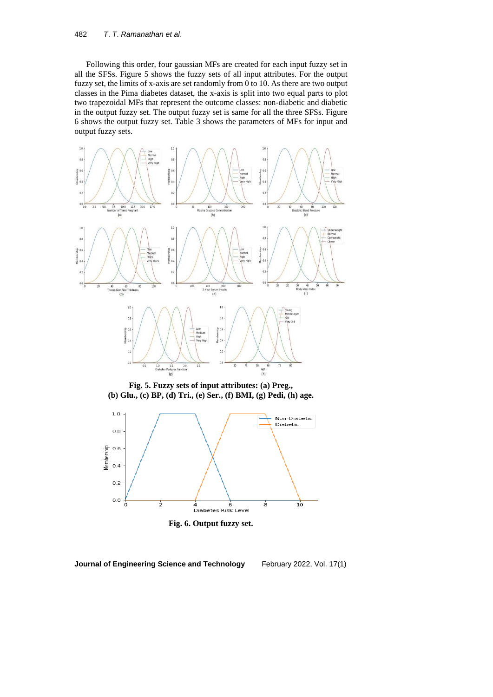Following this order, four gaussian MFs are created for each input fuzzy set in all the SFSs. Figure 5 shows the fuzzy sets of all input attributes. For the output fuzzy set, the limits of x-axis are set randomly from 0 to 10. As there are two output classes in the Pima diabetes dataset, the x-axis is split into two equal parts to plot two trapezoidal MFs that represent the outcome classes: non-diabetic and diabetic in the output fuzzy set. The output fuzzy set is same for all the three SFSs. Figure 6 shows the output fuzzy set. Table 3 shows the parameters of MFs for input and output fuzzy sets.



**Fig. 5. Fuzzy sets of input attributes: (a) Preg., (b) Glu., (c) BP, (d) Tri., (e) Ser., (f) BMI, (g) Pedi, (h) age.**



**Fig. 6. Output fuzzy set.**

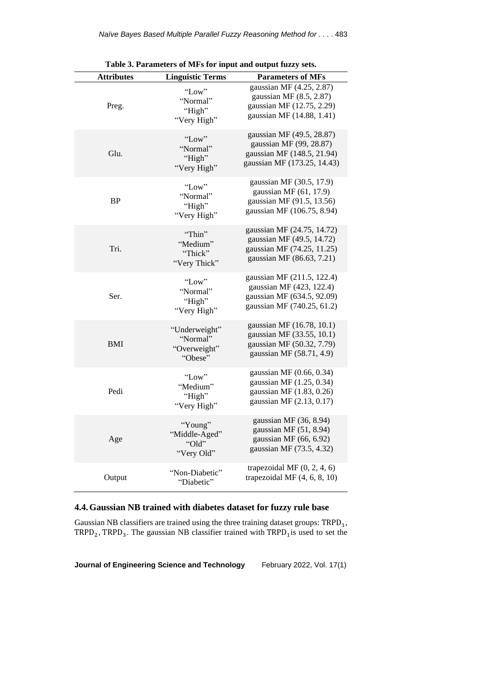| rable 5. Farameters of MFs for input and output fuzzy sets. |                                                      |                                                                                                                    |  |
|-------------------------------------------------------------|------------------------------------------------------|--------------------------------------------------------------------------------------------------------------------|--|
| Attributes                                                  | <b>Linguistic Terms</b>                              | <b>Parameters of MFs</b>                                                                                           |  |
| Preg.                                                       | "Low"<br>"Normal"<br>"High"<br>"Very High"           | gaussian MF (4.25, 2.87)<br>gaussian MF $(8.5, 2.87)$<br>gaussian MF (12.75, 2.29)<br>gaussian MF (14.88, 1.41)    |  |
| Glu.                                                        | "Low"<br>"Normal"<br>"High"<br>"Very High"           | gaussian MF (49.5, 28.87)<br>gaussian MF (99, 28.87)<br>gaussian MF (148.5, 21.94)<br>gaussian MF (173.25, 14.43)  |  |
| <b>BP</b>                                                   | "Low"<br>"Normal"<br>"High"<br>"Very High"           | gaussian MF (30.5, 17.9)<br>gaussian MF (61, 17.9)<br>gaussian MF (91.5, 13.56)<br>gaussian MF (106.75, 8.94)      |  |
| Tri.                                                        | "Thin"<br>"Medium"<br>"Thick"<br>"Very Thick"        | gaussian MF (24.75, 14.72)<br>gaussian MF (49.5, 14.72)<br>gaussian MF (74.25, 11.25)<br>gaussian MF (86.63, 7.21) |  |
| Ser.                                                        | "Low"<br>"Normal"<br>"High"<br>"Very High"           | gaussian MF (211.5, 122.4)<br>gaussian MF (423, 122.4)<br>gaussian MF (634.5, 92.09)<br>gaussian MF (740.25, 61.2) |  |
| <b>BMI</b>                                                  | "Underweight"<br>"Normal"<br>"Overweight"<br>"Obese" | gaussian MF (16.78, 10.1)<br>gaussian MF (33.55, 10.1)<br>gaussian MF (50.32, 7.79)<br>gaussian MF (58.71, 4.9)    |  |
| Pedi                                                        | "Low"<br>"Medium"<br>"High"<br>"Very High"           | gaussian MF (0.66, 0.34)<br>gaussian MF (1.25, 0.34)<br>gaussian MF (1.83, 0.26)<br>gaussian MF (2.13, 0.17)       |  |
| Age                                                         | "Young"<br>"Middle-Aged"<br>"Old"<br>"Very Old"      | gaussian MF $(36, 8.94)$<br>gaussian MF $(51, 8.94)$<br>gaussian MF (66, 6.92)<br>gaussian MF (73.5, 4.32)         |  |
| Output                                                      | "Non-Diabetic"<br>"Diabetic"                         | trapezoidal MF $(0, 2, 4, 6)$<br>trapezoidal MF $(4, 6, 8, 10)$                                                    |  |

**Table 3. Parameters of MFs for input and output fuzzy sets.**

# **4.4.Gaussian NB trained with diabetes dataset for fuzzy rule base**

Gaussian NB classifiers are trained using the three training dataset groups:  $TRPD_1$ , TRPD<sub>2</sub>, TRPD<sub>3</sub>. The gaussian NB classifier trained with  $TRPD<sub>1</sub>$  is used to set the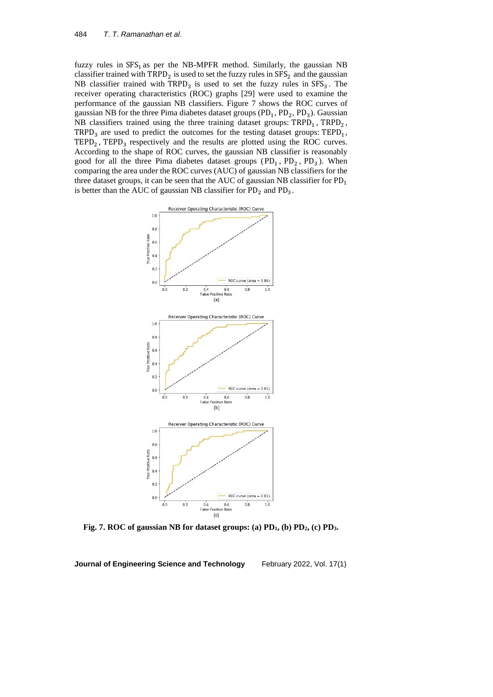fuzzy rules in  $SFS<sub>1</sub>$  as per the NB-MPFR method. Similarly, the gaussian NB classifier trained with  $\text{TRPD}_2$  is used to set the fuzzy rules in  $\text{SFS}_2$  and the gaussian NB classifier trained with  $TRPD_3$  is used to set the fuzzy rules in  $SFS_3$ . The receiver operating characteristics (ROC) graphs [29] were used to examine the performance of the gaussian NB classifiers. Figure 7 shows the ROC curves of gaussian NB for the three Pima diabetes dataset groups  $(PD_1, PD_2, PD_3)$ . Gaussian NB classifiers trained using the three training dataset groups:  $TRPD_1$ ,  $TRPD_2$ ,  $TRPD<sub>3</sub>$  are used to predict the outcomes for the testing dataset groups:  $TEPD<sub>1</sub>$ ,  $\text{TEPD}_2$ ,  $\text{TEPD}_3$  respectively and the results are plotted using the ROC curves. According to the shape of ROC curves, the gaussian NB classifier is reasonably good for all the three Pima diabetes dataset groups  $(PD_1, PD_2, PD_3)$ . When comparing the area under the ROC curves (AUC) of gaussian NB classifiers for the three dataset groups, it can be seen that the AUC of gaussian NB classifier for  $PD_1$ is better than the AUC of gaussian NB classifier for  $PD_2$  and  $PD_3$ .



**Fig. 7. ROC of gaussian NB for dataset groups: (a) PD1, (b) PD2, (c) PD3.**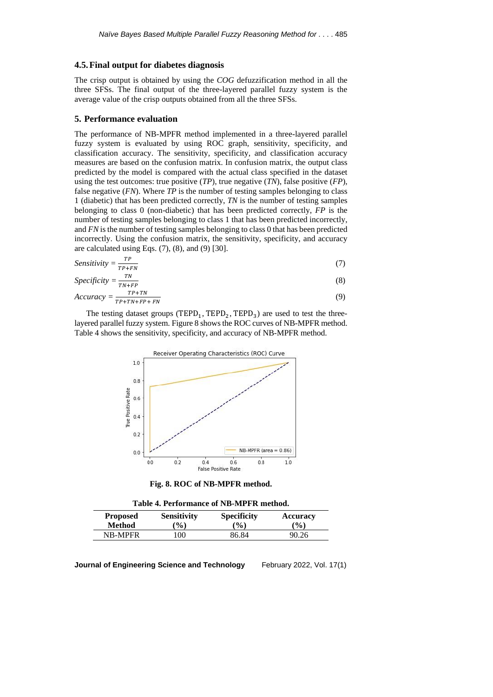#### **4.5.Final output for diabetes diagnosis**

The crisp output is obtained by using the *COG* defuzzification method in all the three SFSs. The final output of the three-layered parallel fuzzy system is the average value of the crisp outputs obtained from all the three SFSs.

### **5. Performance evaluation**

The performance of NB-MPFR method implemented in a three-layered parallel fuzzy system is evaluated by using ROC graph, sensitivity, specificity, and classification accuracy. The sensitivity, specificity, and classification accuracy measures are based on the confusion matrix. In confusion matrix, the output class predicted by the model is compared with the actual class specified in the dataset using the test outcomes: true positive (*TP*), true negative (*TN*), false positive (*FP*), false negative (*FN*). Where *TP* is the number of testing samples belonging to class 1 (diabetic) that has been predicted correctly, *TN* is the number of testing samples belonging to class 0 (non-diabetic) that has been predicted correctly, *FP* is the number of testing samples belonging to class 1 that has been predicted incorrectly, and *FN* is the number of testing samples belonging to class 0 that has been predicted incorrectly. Using the confusion matrix, the sensitivity, specificity, and accuracy are calculated using Eqs.  $(7)$ ,  $(8)$ , and  $(9)$   $[30]$ .

$$
Sensitivity = \frac{TP}{TP+FN} \tag{7}
$$

$$
Specificity = \frac{TN}{TN + FP}
$$
 (8)

$$
Accuracy = \frac{TP + TN}{TP + TN + FP + FN}
$$
\n(9)

The testing dataset groups  $(TEPD_1, TEPD_2, TEPD_3)$  are used to test the threelayered parallel fuzzy system. Figure 8 shows the ROC curves of NB-MPFR method. Table 4 shows the sensitivity, specificity, and accuracy of NB-MPFR method.



**Fig. 8. ROC of NB-MPFR method.**

**Table 4. Performance of NB-MPFR method.**

| <b>Proposed</b> | <b>Sensitivity</b> | <b>Specificity</b> | <b>Accuracy</b> |
|-----------------|--------------------|--------------------|-----------------|
| Method          | $\mathcal{O}(6)$   | $\mathcal{O}(0)$   | $\binom{0}{0}$  |
| <b>NB-MPFR</b>  | 100                | 86.84              | 90.26           |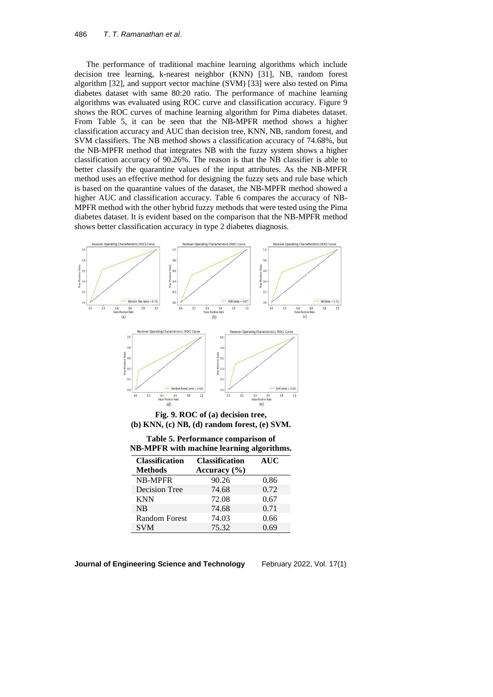The performance of traditional machine learning algorithms which include decision tree learning, k-nearest neighbor (KNN) [31], NB, random forest algorithm [32], and support vector machine (SVM) [33] were also tested on Pima diabetes dataset with same 80:20 ratio. The performance of machine learning algorithms was evaluated using ROC curve and classification accuracy. Figure 9 shows the ROC curves of machine learning algorithm for Pima diabetes dataset. From Table 5, it can be seen that the NB-MPFR method shows a higher classification accuracy and AUC than decision tree, KNN, NB, random forest, and SVM classifiers. The NB method shows a classification accuracy of 74.68%, but the NB-MPFR method that integrates NB with the fuzzy system shows a higher classification accuracy of 90.26%. The reason is that the NB classifier is able to better classify the quarantine values of the input attributes. As the NB-MPFR method uses an effective method for designing the fuzzy sets and rule base which is based on the quarantine values of the dataset, the NB-MPFR method showed a higher AUC and classification accuracy. Table 6 compares the accuracy of NB-MPFR method with the other hybrid fuzzy methods that were tested using the Pima diabetes dataset. It is evident based on the comparison that the NB-MPFR method shows better classification accuracy in type 2 diabetes diagnosis.



**(b) KNN, (c) NB, (d) random forest, (e) SVM.**

| Table 5. Performance comparison of               |  |
|--------------------------------------------------|--|
| <b>NB-MPFR</b> with machine learning algorithms. |  |

| <b>Classification</b> | <b>Classification</b> | <b>AUC</b> |
|-----------------------|-----------------------|------------|
| <b>Methods</b>        | Accuracy $(\% )$      |            |
| <b>NB-MPFR</b>        | 90.26                 | 0.86       |
| Decision Tree         | 74.68                 | 0.72       |
| <b>KNN</b>            | 72.08                 | 0.67       |
| <b>NB</b>             | 74.68                 | 0.71       |
| <b>Random Forest</b>  | 74.03                 | 0.66       |
| <b>SVM</b>            | 75.32                 | 0.69       |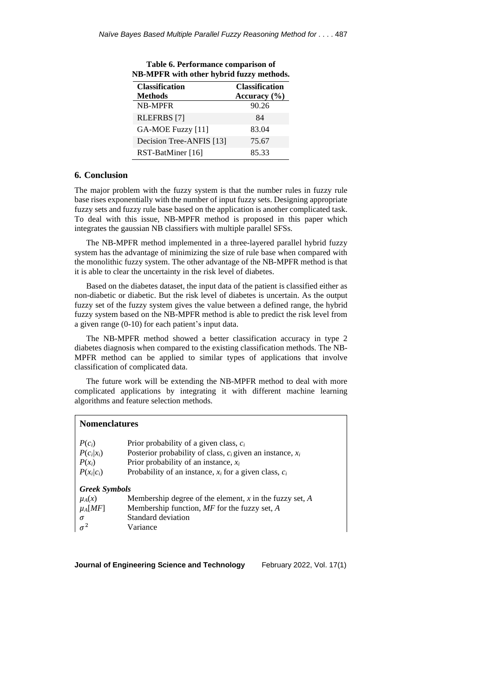| <b>Classification</b>    | <b>Classification</b> |
|--------------------------|-----------------------|
| <b>Methods</b>           | Accuracy $(\% )$      |
| <b>NB-MPFR</b>           | 90.26                 |
| <b>RLEFRBS</b> [7]       | 84                    |
| GA-MOE Fuzzy [11]        | 83.04                 |
| Decision Tree-ANFIS [13] | 75.67                 |
| RST-BatMiner [16]        | 85.33                 |

| Table 6. Performance comparison of       |
|------------------------------------------|
| NB-MPFR with other hybrid fuzzy methods. |

## **6. Conclusion**

The major problem with the fuzzy system is that the number rules in fuzzy rule base rises exponentially with the number of input fuzzy sets. Designing appropriate fuzzy sets and fuzzy rule base based on the application is another complicated task. To deal with this issue, NB-MPFR method is proposed in this paper which integrates the gaussian NB classifiers with multiple parallel SFSs.

The NB-MPFR method implemented in a three-layered parallel hybrid fuzzy system has the advantage of minimizing the size of rule base when compared with the monolithic fuzzy system. The other advantage of the NB-MPFR method is that it is able to clear the uncertainty in the risk level of diabetes.

Based on the diabetes dataset, the input data of the patient is classified either as non-diabetic or diabetic. But the risk level of diabetes is uncertain. As the output fuzzy set of the fuzzy system gives the value between a defined range, the hybrid fuzzy system based on the NB-MPFR method is able to predict the risk level from a given range (0-10) for each patient's input data.

The NB-MPFR method showed a better classification accuracy in type 2 diabetes diagnosis when compared to the existing classification methods. The NB-MPFR method can be applied to similar types of applications that involve classification of complicated data.

The future work will be extending the NB-MPFR method to deal with more complicated applications by integrating it with different machine learning algorithms and feature selection methods.

| <b>Nomenclatures</b> |                                                                |  |
|----------------------|----------------------------------------------------------------|--|
| $P(c_i)$             | Prior probability of a given class, $c_i$                      |  |
| $P(c_i x_i)$         | Posterior probability of class, $c_i$ given an instance, $x_i$ |  |
| $P(x_i)$             | Prior probability of an instance, $x_i$                        |  |
| $P(x_i c_i)$         | Probability of an instance, $x_i$ for a given class, $c_i$     |  |
| <b>Greek Symbols</b> |                                                                |  |
| $\mu_A(x)$           | Membership degree of the element, $x$ in the fuzzy set, $A$    |  |
| $\mu_A[MF]$          | Membership function, $MF$ for the fuzzy set, A                 |  |
| σ                    | Standard deviation                                             |  |
| $\sigma^2$           | Variance                                                       |  |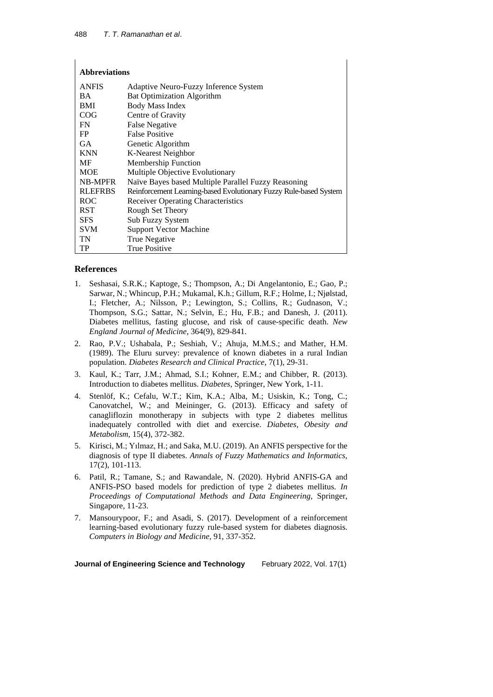$\overline{1}$ 

| <b>Abbreviations</b> |                                                                   |
|----------------------|-------------------------------------------------------------------|
| <b>ANFIS</b>         | Adaptive Neuro-Fuzzy Inference System                             |
| <b>BA</b>            | <b>Bat Optimization Algorithm</b>                                 |
| <b>BMI</b>           | <b>Body Mass Index</b>                                            |
| COG                  | Centre of Gravity                                                 |
| <b>FN</b>            | False Negative                                                    |
| FP.                  | <b>False Positive</b>                                             |
| <b>GA</b>            | Genetic Algorithm                                                 |
| <b>KNN</b>           | K-Nearest Neighbor                                                |
| MF                   | <b>Membership Function</b>                                        |
| <b>MOE</b>           | Multiple Objective Evolutionary                                   |
| <b>NB-MPFR</b>       | Naïve Bayes based Multiple Parallel Fuzzy Reasoning               |
| <b>RLEFRBS</b>       | Reinforcement Learning-based Evolutionary Fuzzy Rule-based System |
| <b>ROC</b>           | <b>Receiver Operating Characteristics</b>                         |
| <b>RST</b>           | Rough Set Theory                                                  |
| <b>SFS</b>           | Sub Fuzzy System                                                  |
| <b>SVM</b>           | <b>Support Vector Machine</b>                                     |
| TN                   | True Negative                                                     |
| TP                   | <b>True Positive</b>                                              |

## **References**

- 1. Seshasai, S.R.K.; Kaptoge, S.; Thompson, A.; Di Angelantonio, E.; Gao, P.; Sarwar, N.; Whincup, P.H.; Mukamal, K.h.; Gillum, R.F.; Holme, I.; Njølstad, I.; Fletcher, A.; Nilsson, P.; Lewington, S.; Collins, R.; Gudnason, V.; Thompson, S.G.; Sattar, N.; Selvin, E.; Hu, F.B.; and Danesh, J. (2011). Diabetes mellitus, fasting glucose, and risk of cause-specific death. *New England Journal of Medicine*, 364(9), 829-841.
- 2. Rao, P.V.; Ushabala, P.; Seshiah, V.; Ahuja, M.M.S.; and Mather, H.M. (1989). The Eluru survey: prevalence of known diabetes in a rural Indian population. *Diabetes Research and Clinical Practice*, 7(1), 29-31.
- 3. Kaul, K.; Tarr, J.M.; Ahmad, S.I.; Kohner, E.M.; and Chibber, R. (2013). Introduction to diabetes mellitus. *Diabetes*, Springer, New York, 1-11.
- 4. Stenlöf, K.; Cefalu, W.T.; Kim, K.A.; Alba, M.; Usiskin, K.; Tong, C.; Canovatchel, W.; and Meininger, G. (2013). Efficacy and safety of canagliflozin monotherapy in subjects with type 2 diabetes mellitus inadequately controlled with diet and exercise. *Diabetes*, *Obesity and Metabolism*, 15(4), 372-382.
- 5. Kirisci, M.; Yılmaz, H.; and Saka, M.U. (2019). An ANFIS perspective for the diagnosis of type II diabetes. *Annals of Fuzzy Mathematics and Informatics*, 17(2), 101-113.
- 6. Patil, R.; Tamane, S.; and Rawandale, N. (2020). Hybrid ANFIS-GA and ANFIS-PSO based models for prediction of type 2 diabetes mellitus. *In Proceedings of Computational Methods and Data Engineering*, Springer, Singapore, 11-23.
- 7. Mansourypoor, F.; and Asadi, S. (2017). Development of a reinforcement learning-based evolutionary fuzzy rule-based system for diabetes diagnosis. *Computers in Biology and Medicine*, 91, 337-352.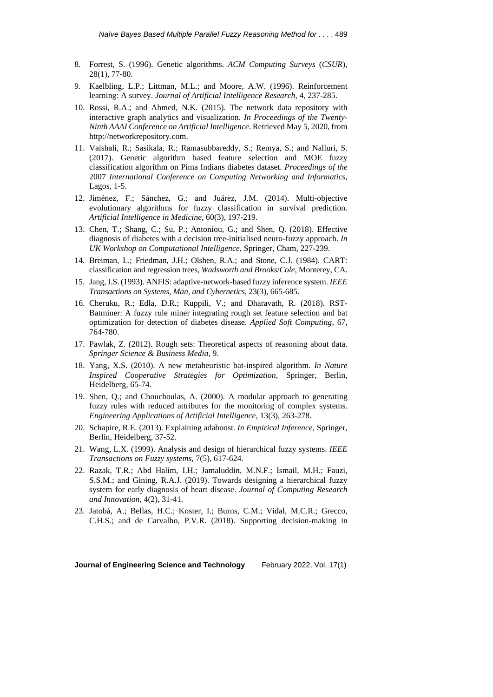- 8. Forrest, S. (1996). Genetic algorithms. *ACM Computing Surveys* (*CSUR*), 28(1), 77-80.
- 9. Kaelbling, L.P.; Littman, M.L.; and Moore, A.W. (1996). Reinforcement learning: A survey. *Journal of Artificial Intelligence Research*, 4, 237-285.
- 10. Rossi, R.A.; and Ahmed, N.K. (2015). The network data repository with interactive graph analytics and visualization. *In Proceedings of the Twenty-Ninth AAAI Conference on Artificial Intelligence*. Retrieved May 5, 2020, from [http://networkrepository.com.](http://networkrepository.com/)
- 11. Vaishali, R.; Sasikala, R.; Ramasubbareddy, S.; Remya, S.; and Nalluri, S. (2017). Genetic algorithm based feature selection and MOE fuzzy classification algorithm on Pima Indians diabetes dataset. *Proceedings of the* 2007 *International Conference on Computing Networking and Informatics*, Lagos, 1-5.
- 12. Jiménez, F.; Sánchez, G.; and Juárez, J.M. (2014). Multi-objective evolutionary algorithms for fuzzy classification in survival prediction. *Artificial Intelligence in Medicine*, 60(3), 197-219.
- 13. Chen, T.; Shang, C.; Su, P.; Antoniou, G.; and Shen, Q. (2018). Effective diagnosis of diabetes with a decision tree-initialised neuro-fuzzy approach. *In UK Workshop on Computational Intelligence*, Springer, Cham, 227-239.
- 14. Breiman, L.; Friedman, J.H.; Olshen, R.A.; and Stone, C.J. (1984). CART: classification and regression trees, *Wadsworth and Brooks*/*Cole*, Monterey, CA.
- 15. Jang,J.S. (1993). ANFIS: adaptive-network-based fuzzy inference system. *IEEE Transactions on Systems*, *Man*, *and Cybernetics*, 23(3), 665-685.
- 16. Cheruku, R.; Edla, D.R.; Kuppili, V.; and Dharavath, R. (2018). RST-Batminer: A fuzzy rule miner integrating rough set feature selection and bat optimization for detection of diabetes disease. *Applied Soft Computing*, 67, 764-780.
- 17. Pawlak, Z. (2012). Rough sets: Theoretical aspects of reasoning about data. *Springer Science & Business Media*, 9.
- 18. Yang, X.S. (2010). A new metaheuristic bat-inspired algorithm. *In Nature Inspired Cooperative Strategies for Optimization*, Springer, Berlin, Heidelberg, 65-74.
- 19. Shen, Q.; and Chouchoulas, A. (2000). A modular approach to generating fuzzy rules with reduced attributes for the monitoring of complex systems. *Engineering Applications of Artificial Intelligence*, 13(3), 263-278.
- 20. Schapire, R.E. (2013). Explaining adaboost. *In Empirical Inference*, Springer, Berlin, Heidelberg, 37-52.
- 21. Wang, L.X. (1999). Analysis and design of hierarchical fuzzy systems. *IEEE Transactions on Fuzzy systems*, 7(5), 617-624.
- 22. Razak, T.R.; Abd Halim, I.H.; Jamaluddin, M.N.F.; Ismail, M.H.; Fauzi, S.S.M.; and Gining, R.A.J. (2019). Towards designing a hierarchical fuzzy system for early diagnosis of heart disease. *Journal of Computing Research and Innovation*, 4(2), 31-41.
- 23. Jatobá, A.; Bellas, H.C.; Koster, I.; Burns, C.M.; Vidal, M.C.R.; Grecco, C.H.S.; and de Carvalho, P.V.R. (2018). Supporting decision-making in